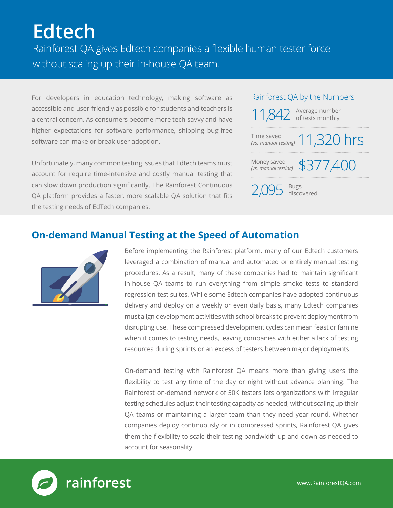# **Edtech**

Rainforest QA gives Edtech companies a flexible human tester force without scaling up their in-house QA team.

For developers in education technology, making software as accessible and user-friendly as possible for students and teachers is a central concern. As consumers become more tech-savvy and have higher expectations for software performance, shipping bug-free software can make or break user adoption.

Unfortunately, many common testing issues that Edtech teams must account for require time-intensive and costly manual testing that can slow down production significantly. The Rainforest Continuous QA platform provides a faster, more scalable QA solution that fits the testing needs of EdTech companies.

#### Rainforest QA by the Numbers

| 11,842 Average number                         |
|-----------------------------------------------|
| Time saved<br>(vs. manual testing) 11,320 hrs |
| Money saved \$377,400                         |
| $2,095$ discovered                            |

#### **On-demand Manual Testing at the Speed of Automation**



Before implementing the Rainforest platform, many of our Edtech customers leveraged a combination of manual and automated or entirely manual testing procedures. As a result, many of these companies had to maintain significant in-house QA teams to run everything from simple smoke tests to standard regression test suites. While some Edtech companies have adopted continuous delivery and deploy on a weekly or even daily basis, many Edtech companies must align development activities with school breaks to prevent deployment from disrupting use. These compressed development cycles can mean feast or famine when it comes to testing needs, leaving companies with either a lack of testing resources during sprints or an excess of testers between major deployments.

On-demand testing with Rainforest QA means more than giving users the flexibility to test any time of the day or night without advance planning. The Rainforest on-demand network of 50K testers lets organizations with irregular testing schedules adjust their testing capacity as needed, without scaling up their QA teams or maintaining a larger team than they need year-round. Whether companies deploy continuously or in compressed sprints, Rainforest QA gives them the flexibility to scale their testing bandwidth up and down as needed to account for seasonality.

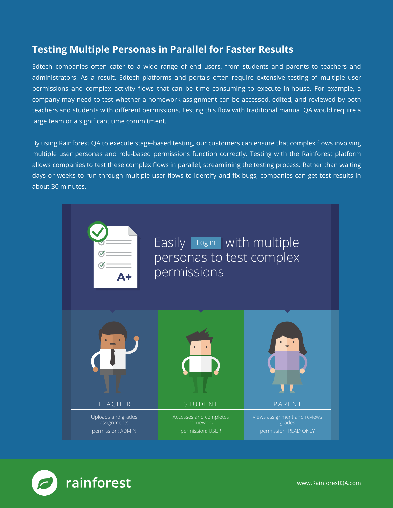#### **Testing Multiple Personas in Parallel for Faster Results**

Edtech companies often cater to a wide range of end users, from students and parents to teachers and administrators. As a result, Edtech platforms and portals often require extensive testing of multiple user permissions and complex activity flows that can be time consuming to execute in-house. For example, a company may need to test whether a homework assignment can be accessed, edited, and reviewed by both teachers and students with different permissions. Testing this flow with traditional manual QA would require a large team or a significant time commitment.

By using Rainforest QA to execute stage-based testing, our customers can ensure that complex flows involving multiple user personas and role-based permissions function correctly. Testing with the Rainforest platform allows companies to test these complex flows in parallel, streamlining the testing process. Rather than waiting days or weeks to run through multiple user flows to identify and fix bugs, companies can get test results in about 30 minutes.



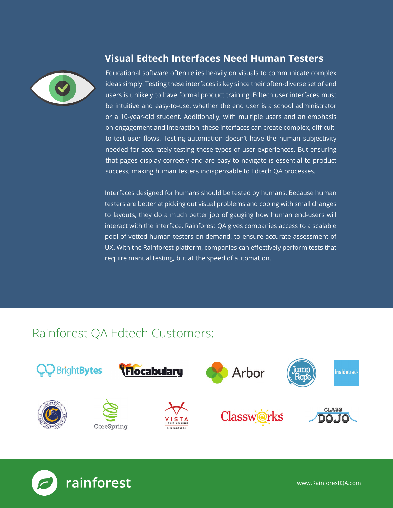

### **Visual Edtech Interfaces Need Human Testers**

Educational software often relies heavily on visuals to communicate complex ideas simply. Testing these interfaces is key since their often-diverse set of end users is unlikely to have formal product training. Edtech user interfaces must be intuitive and easy-to-use, whether the end user is a school administrator or a 10-year-old student. Additionally, with multiple users and an emphasis on engagement and interaction, these interfaces can create complex, difficultto-test user flows. Testing automation doesn't have the human subjectivity needed for accurately testing these types of user experiences. But ensuring that pages display correctly and are easy to navigate is essential to product success, making human testers indispensable to Edtech QA processes.

Interfaces designed for humans should be tested by humans. Because human testers are better at picking out visual problems and coping with small changes to layouts, they do a much better job of gauging how human end-users will interact with the interface. Rainforest QA gives companies access to a scalable pool of vetted human testers on-demand, to ensure accurate assessment of UX. With the Rainforest platform, companies can effectively perform tests that require manual testing, but at the speed of automation.

# Rainforest QA Edtech Customers: